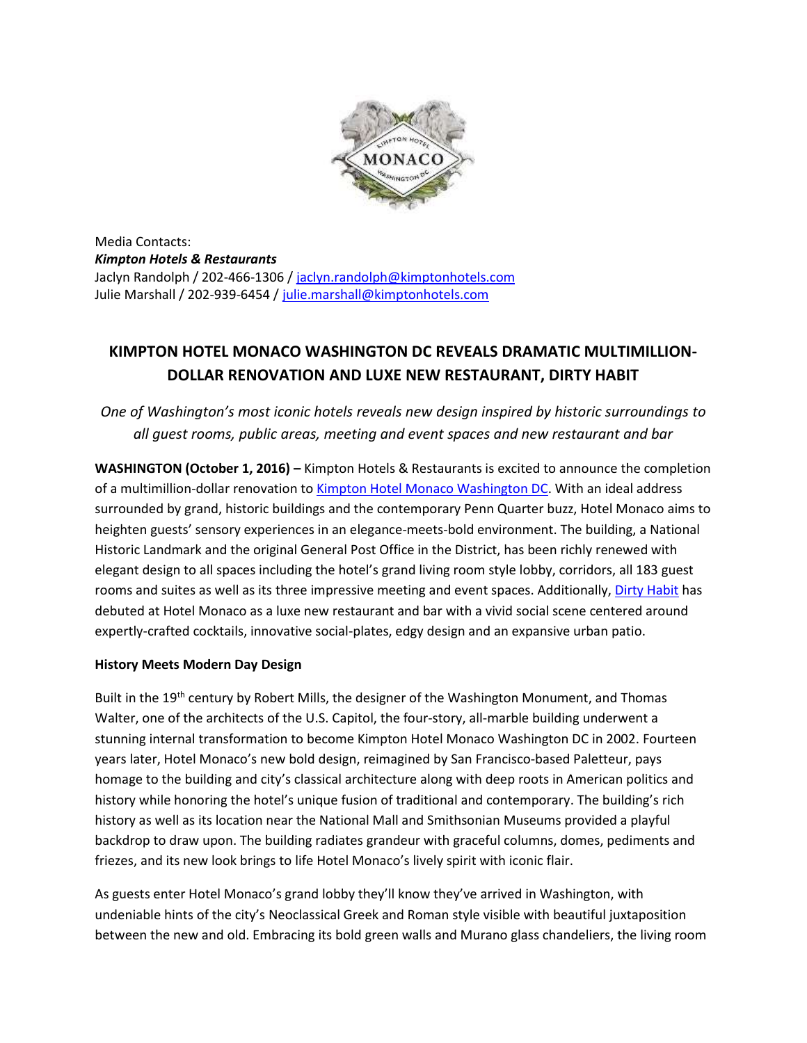

Media Contacts: *Kimpton Hotels & Restaurants* Jaclyn Randolph / 202-466-1306 / [jaclyn.randolph@kimptonhotels.com](mailto:jaclyn.randolph@kimptonhotels.com) Julie Marshall / 202-939-6454 / [julie.marshall@kimptonhotels.com](mailto:julie.marshall@kimptonhotels.com)

# **KIMPTON HOTEL MONACO WASHINGTON DC REVEALS DRAMATIC MULTIMILLION-DOLLAR RENOVATION AND LUXE NEW RESTAURANT, DIRTY HABIT**

*One of Washington's most iconic hotels reveals new design inspired by historic surroundings to all guest rooms, public areas, meeting and event spaces and new restaurant and bar*

**WASHINGTON (October 1, 2016) –** Kimpton Hotels & Restaurants is excited to announce the completion of a multimillion-dollar renovation to [Kimpton Hotel Monaco Washington DC.](http://www.monaco-dc.com/) With an ideal address surrounded by grand, historic buildings and the contemporary Penn Quarter buzz, Hotel Monaco aims to heighten guests' sensory experiences in an elegance-meets-bold environment. The building, a National Historic Landmark and the original General Post Office in the District, has been richly renewed with elegant design to all spaces including the hotel's grand living room style lobby, corridors, all 183 guest rooms and suites as well as its three impressive meeting and event spaces. Additionally[, Dirty Habit](http://www.dirtyhabitdc.com/) has debuted at Hotel Monaco as a luxe new restaurant and bar with a vivid social scene centered around expertly-crafted cocktails, innovative social-plates, edgy design and an expansive urban patio.

### **History Meets Modern Day Design**

Built in the 19<sup>th</sup> century by Robert Mills, the designer of the Washington Monument, and Thomas Walter, one of the architects of the U.S. Capitol, the four-story, all-marble building underwent a stunning internal transformation to become Kimpton Hotel Monaco Washington DC in 2002. Fourteen years later, Hotel Monaco's new bold design, reimagined by San Francisco-based Paletteur, pays homage to the building and city's classical architecture along with deep roots in American politics and history while honoring the hotel's unique fusion of traditional and contemporary. The building's rich history as well as its location near the National Mall and Smithsonian Museums provided a playful backdrop to draw upon. The building radiates grandeur with graceful columns, domes, pediments and friezes, and its new look brings to life Hotel Monaco's lively spirit with iconic flair.

As guests enter Hotel Monaco's grand lobby they'll know they've arrived in Washington, with undeniable hints of the city's Neoclassical Greek and Roman style visible with beautiful juxtaposition between the new and old. Embracing its bold green walls and Murano glass chandeliers, the living room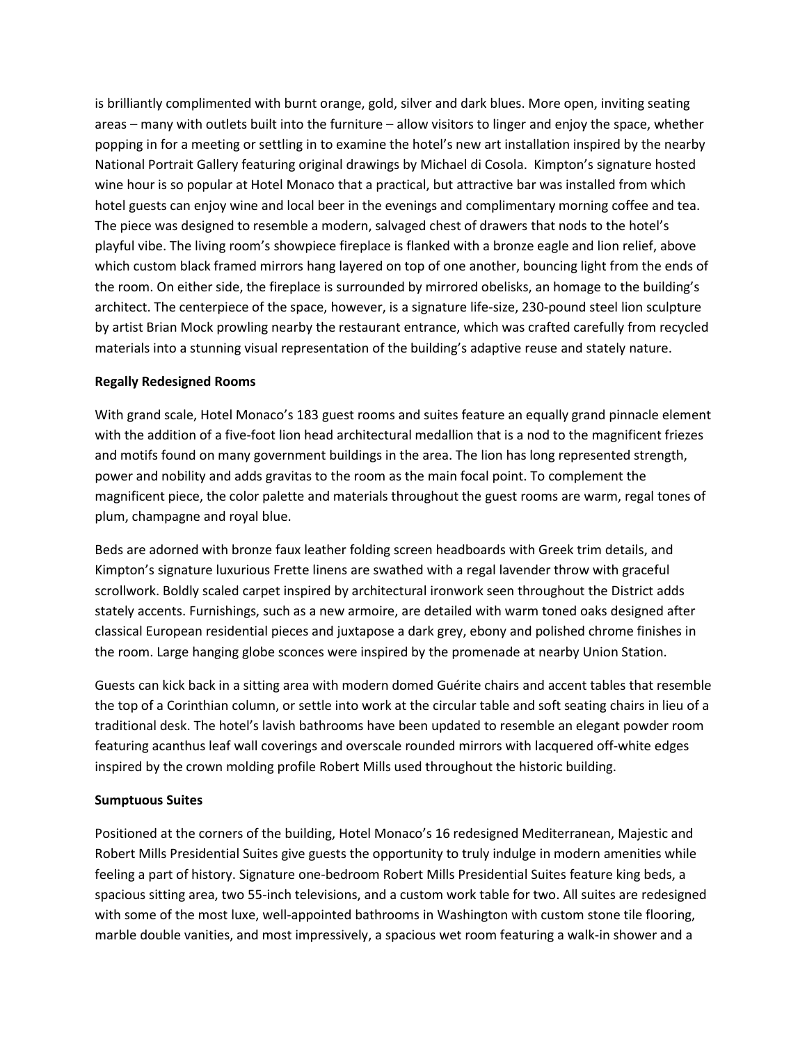is brilliantly complimented with burnt orange, gold, silver and dark blues. More open, inviting seating areas – many with outlets built into the furniture – allow visitors to linger and enjoy the space, whether popping in for a meeting or settling in to examine the hotel's new art installation inspired by the nearby National Portrait Gallery featuring original drawings by Michael di Cosola. Kimpton's signature hosted wine hour is so popular at Hotel Monaco that a practical, but attractive bar was installed from which hotel guests can enjoy wine and local beer in the evenings and complimentary morning coffee and tea. The piece was designed to resemble a modern, salvaged chest of drawers that nods to the hotel's playful vibe. The living room's showpiece fireplace is flanked with a bronze eagle and lion relief, above which custom black framed mirrors hang layered on top of one another, bouncing light from the ends of the room. On either side, the fireplace is surrounded by mirrored obelisks, an homage to the building's architect. The centerpiece of the space, however, is a signature life-size, 230-pound steel lion sculpture by artist Brian Mock prowling nearby the restaurant entrance, which was crafted carefully from recycled materials into a stunning visual representation of the building's adaptive reuse and stately nature.

#### **Regally Redesigned Rooms**

With grand scale, Hotel Monaco's 183 guest rooms and suites feature an equally grand pinnacle element with the addition of a five-foot lion head architectural medallion that is a nod to the magnificent friezes and motifs found on many government buildings in the area. The lion has long represented strength, power and nobility and adds gravitas to the room as the main focal point. To complement the magnificent piece, the color palette and materials throughout the guest rooms are warm, regal tones of plum, champagne and royal blue.

Beds are adorned with bronze faux leather folding screen headboards with Greek trim details, and Kimpton's signature luxurious Frette linens are swathed with a regal lavender throw with graceful scrollwork. Boldly scaled carpet inspired by architectural ironwork seen throughout the District adds stately accents. Furnishings, such as a new armoire, are detailed with warm toned oaks designed after classical European residential pieces and juxtapose a dark grey, ebony and polished chrome finishes in the room. Large hanging globe sconces were inspired by the promenade at nearby Union Station.

Guests can kick back in a sitting area with modern domed Guérite chairs and accent tables that resemble the top of a Corinthian column, or settle into work at the circular table and soft seating chairs in lieu of a traditional desk. The hotel's lavish bathrooms have been updated to resemble an elegant powder room featuring acanthus leaf wall coverings and overscale rounded mirrors with lacquered off-white edges inspired by the crown molding profile Robert Mills used throughout the historic building.

### **Sumptuous Suites**

Positioned at the corners of the building, Hotel Monaco's 16 redesigned Mediterranean, Majestic and Robert Mills Presidential Suites give guests the opportunity to truly indulge in modern amenities while feeling a part of history. Signature one-bedroom Robert Mills Presidential Suites feature king beds, a spacious sitting area, two 55-inch televisions, and a custom work table for two. All suites are redesigned with some of the most luxe, well-appointed bathrooms in Washington with custom stone tile flooring, marble double vanities, and most impressively, a spacious wet room featuring a walk-in shower and a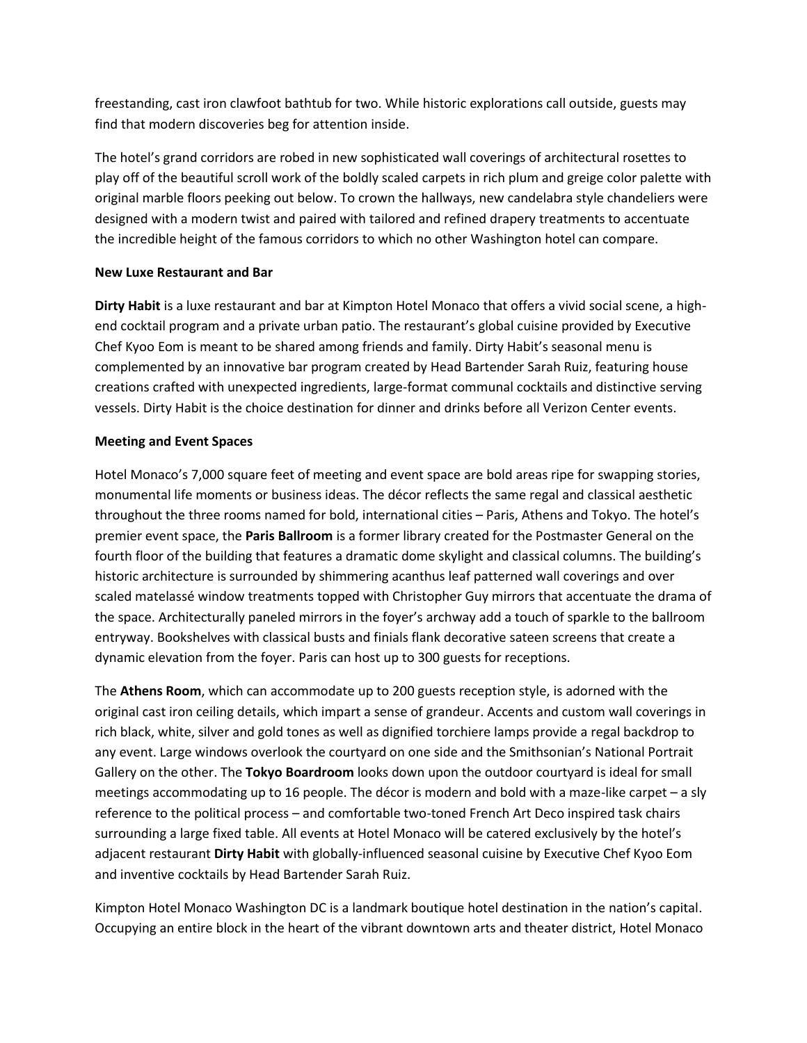freestanding, cast iron clawfoot bathtub for two. While historic explorations call outside, guests may find that modern discoveries beg for attention inside.

The hotel's grand corridors are robed in new sophisticated wall coverings of architectural rosettes to play off of the beautiful scroll work of the boldly scaled carpets in rich plum and greige color palette with original marble floors peeking out below. To crown the hallways, new candelabra style chandeliers were designed with a modern twist and paired with tailored and refined drapery treatments to accentuate the incredible height of the famous corridors to which no other Washington hotel can compare.

## **New Luxe Restaurant and Bar**

**Dirty Habit** is a luxe restaurant and bar at Kimpton Hotel Monaco that offers a vivid social scene, a highend cocktail program and a private urban patio. The restaurant's global cuisine provided by Executive Chef Kyoo Eom is meant to be shared among friends and family. Dirty Habit's seasonal menu is complemented by an innovative bar program created by Head Bartender Sarah Ruiz, featuring house creations crafted with unexpected ingredients, large-format communal cocktails and distinctive serving vessels. Dirty Habit is the choice destination for dinner and drinks before all Verizon Center events.

## **Meeting and Event Spaces**

Hotel Monaco's 7,000 square feet of meeting and event space are bold areas ripe for swapping stories, monumental life moments or business ideas. The décor reflects the same regal and classical aesthetic throughout the three rooms named for bold, international cities – Paris, Athens and Tokyo. The hotel's premier event space, the **Paris Ballroom** is a former library created for the Postmaster General on the fourth floor of the building that features a dramatic dome skylight and classical columns. The building's historic architecture is surrounded by shimmering acanthus leaf patterned wall coverings and over scaled matelassé window treatments topped with Christopher Guy mirrors that accentuate the drama of the space. Architecturally paneled mirrors in the foyer's archway add a touch of sparkle to the ballroom entryway. Bookshelves with classical busts and finials flank decorative sateen screens that create a dynamic elevation from the foyer. Paris can host up to 300 guests for receptions.

The **Athens Room**, which can accommodate up to 200 guests reception style, is adorned with the original cast iron ceiling details, which impart a sense of grandeur. Accents and custom wall coverings in rich black, white, silver and gold tones as well as dignified torchiere lamps provide a regal backdrop to any event. Large windows overlook the courtyard on one side and the Smithsonian's National Portrait Gallery on the other. The **Tokyo Boardroom** looks down upon the outdoor courtyard is ideal for small meetings accommodating up to 16 people. The décor is modern and bold with a maze-like carpet – a sly reference to the political process – and comfortable two-toned French Art Deco inspired task chairs surrounding a large fixed table. All events at Hotel Monaco will be catered exclusively by the hotel's adjacent restaurant **Dirty Habit** with globally-influenced seasonal cuisine by Executive Chef Kyoo Eom and inventive cocktails by Head Bartender Sarah Ruiz.

Kimpton Hotel Monaco Washington DC is a landmark boutique hotel destination in the nation's capital. Occupying an entire block in the heart of the vibrant downtown arts and theater district, Hotel Monaco